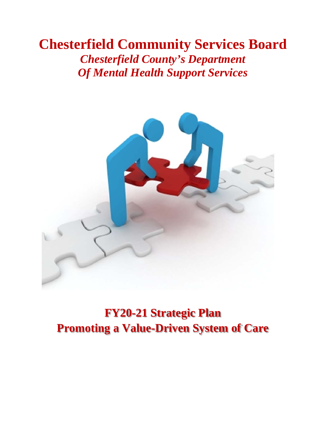## **Chesterfield Community Services Board**  *Chesterfield County's Department Of Mental Health Support Services*



**FY20-21 Strategic Plan Promoting a Value-Driven System of Care**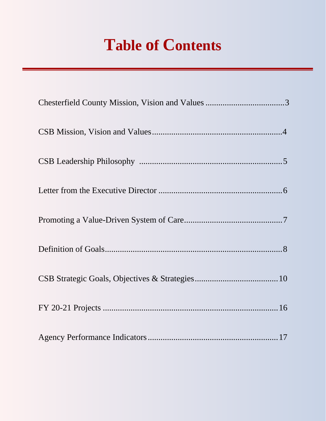# **Table of Contents**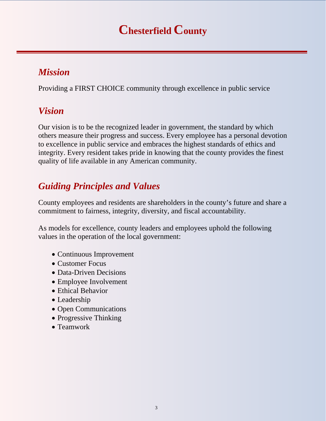## **Chesterfield County**

### *Mission*

Providing a FIRST CHOICE community through excellence in public service

### *Vision*

Our vision is to be the recognized leader in government, the standard by which others measure their progress and success. Every employee has a personal devotion to excellence in public service and embraces the highest standards of ethics and integrity. Every resident takes pride in knowing that the county provides the finest quality of life available in any American community.

## *Guiding Principles and Values*

County employees and residents are shareholders in the county's future and share a commitment to fairness, integrity, diversity, and fiscal accountability.

As models for excellence, county leaders and employees uphold the following values in the operation of the local government:

- Continuous Improvement
- Customer Focus
- Data-Driven Decisions
- Employee Involvement
- Ethical Behavior
- Leadership
- Open Communications
- Progressive Thinking
- Teamwork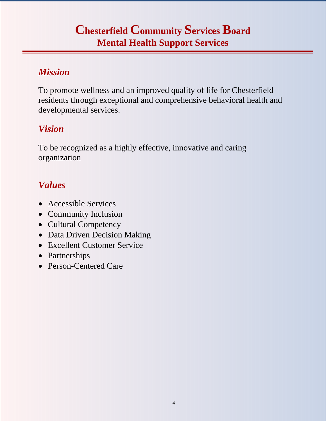## **Chesterfield Community Services Board Mental Health Support Services**

### *Mission*

To promote wellness and an improved quality of life for Chesterfield residents through exceptional and comprehensive behavioral health and developmental services.

### *Vision*

To be recognized as a highly effective, innovative and caring organization

## *Values*

- Accessible Services
- Community Inclusion
- Cultural Competency
- Data Driven Decision Making
- Excellent Customer Service
- Partnerships
- Person-Centered Care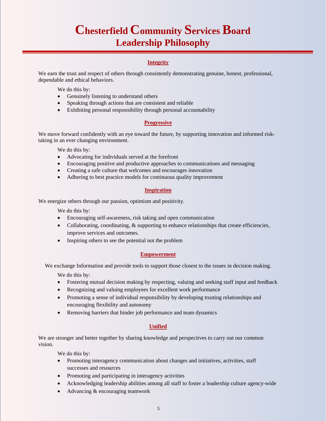## **Chesterfield Community Services Board Leadership Philosophy**

#### **Integrity**

We earn the trust and respect of others through consistently demonstrating genuine, honest, professional, dependable and ethical behaviors.

We do this by:

- Genuinely listening to understand others
- Speaking through actions that are consistent and reliable
- Exhibiting personal responsibility through personal accountability

#### **Progressive**

We move forward confidently with an eye toward the future, by supporting innovation and informed risktaking in an ever changing environment.

We do this by:

- Advocating for individuals served at the forefront
- Encouraging positive and productive approaches to communications and messaging
- Creating a safe culture that welcomes and encourages innovation
- Adhering to best practice models for continuous quality improvement

#### **Inspiration**

We energize others through our passion, optimism and positivity.

We do this by:

- Encouraging self-awareness, risk taking and open communication
- Collaborating, coordinating,  $\&$  supporting to enhance relationships that create efficiencies, improve services and outcomes.
- Inspiring others to see the potential not the problem

#### **Empowerment**

We exchange Information and provide tools to support those closest to the issues in decision making.

We do this by:

- Fostering mutual decision making by respecting, valuing and seeking staff input and feedback
- Recognizing and valuing employees for excellent work performance
- Promoting a sense of individual responsibility by developing trusting relationships and encouraging flexibility and autonomy
- Removing barriers that hinder job performance and team dynamics

#### **Unified**

We are stronger and better together by sharing knowledge and perspectives to carry out our common vision.

We do this by:

- Promoting interagency communication about changes and initiatives, activities, staff successes and resources
- Promoting and participating in interagency activities
- Acknowledging leadership abilities among all staff to foster a leadership culture agency-wide
- Advancing & encouraging teamwork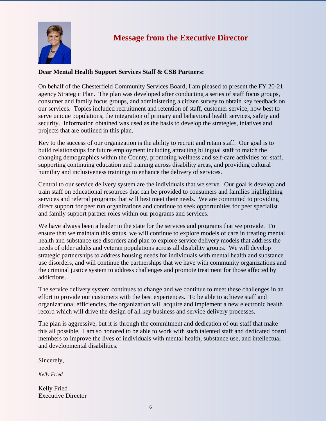

### **Message from the Executive Director**

#### **Dear Mental Health Support Services Staff & CSB Partners:**

On behalf of the Chesterfield Community Services Board, I am pleased to present the FY 20-21 agency Strategic Plan. The plan was developed after conducting a series of staff focus groups, consumer and family focus groups, and administering a citizen survey to obtain key feedback on our services. Topics included recruitment and retention of staff, customer service, how best to serve unique populations, the integration of primary and behavioral health services, safety and security. Information obtained was used as the basis to develop the strategies, iniatives and projects that are outlined in this plan.

Key to the success of our organization is the ability to recruit and retain staff. Our goal is to build relationships for future employment including attracting bilingual staff to match the changing demographics within the County, promoting wellness and self-care activities for staff, supporting continuing education and training across disability areas, and providing cultural humility and inclusiveness trainings to enhance the delivery of services.

Central to our service delivery system are the individuals that we serve. Our goal is develop and train staff on educational resources that can be provided to consumers and families highlighting services and referral programs that will best meet their needs. We are committed to providing direct support for peer run organizations and continue to seek opportunities for peer specialist and family support partner roles within our programs and services.

We have always been a leader in the state for the services and programs that we provide. To ensure that we maintain this status, we will continue to explore models of care in treating mental health and substance use disorders and plan to explore service delivery models that address the needs of older adults and veteran populations across all disability groups. We will develop strategic partnerships to address housing needs for individuals with mental health and substance use disorders, and will continue the partnerships that we have with community organizations and the criminal justice system to address challenges and promote treatment for those affected by addictions.

The service delivery system continues to change and we continue to meet these challenges in an effort to provide our customers with the best experiences. To be able to achieve staff and organizational efficiencies, the organization will acquire and implement a new electronic health record which will drive the design of all key business and service delivery processes.

The plan is aggressive, but it is through the commitment and dedication of our staff that make this all possible. I am so honored to be able to work with such talented staff and dedicated board members to improve the lives of individuals with mental health, substance use, and intellectual and developmental disabilities.

Sincerely,

*Kelly Fried* 

Kelly Fried Executive Director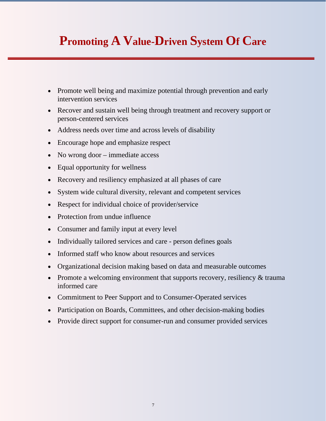## **Promoting A Value-Driven System Of Care**

- Promote well being and maximize potential through prevention and early intervention services
- Recover and sustain well being through treatment and recovery support or person-centered services
- Address needs over time and across levels of disability
- Encourage hope and emphasize respect
- No wrong door immediate access
- Equal opportunity for wellness
- Recovery and resiliency emphasized at all phases of care
- System wide cultural diversity, relevant and competent services
- Respect for individual choice of provider/service
- Protection from undue influence
- Consumer and family input at every level
- Individually tailored services and care person defines goals
- Informed staff who know about resources and services
- Organizational decision making based on data and measurable outcomes
- Promote a welcoming environment that supports recovery, resiliency & trauma informed care
- Commitment to Peer Support and to Consumer-Operated services
- Participation on Boards, Committees, and other decision-making bodies
- Provide direct support for consumer-run and consumer provided services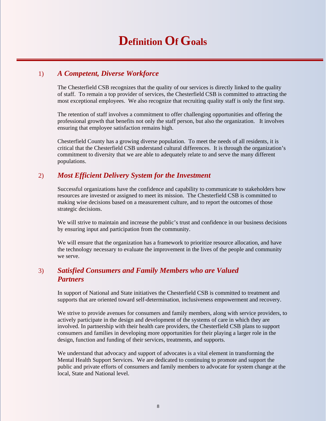## **Definition Of Goals**

#### 1) *A Competent, Diverse Workforce*

The Chesterfield CSB recognizes that the quality of our services is directly linked to the quality of staff. To remain a top provider of services, the Chesterfield CSB is committed to attracting the most exceptional employees. We also recognize that recruiting quality staff is only the first step.

The retention of staff involves a commitment to offer challenging opportunities and offering the professional growth that benefits not only the staff person, but also the organization. It involves ensuring that employee satisfaction remains high.

Chesterfield County has a growing diverse population. To meet the needs of all residents, it is critical that the Chesterfield CSB understand cultural differences. It is through the organization's commitment to diversity that we are able to adequately relate to and serve the many different populations.

#### 2) *Most Efficient Delivery System for the Investment*

Successful organizations have the confidence and capability to communicate to stakeholders how resources are invested or assigned to meet its mission. The Chesterfield CSB is committed to making wise decisions based on a measurement culture, and to report the outcomes of those strategic decisions.

We will strive to maintain and increase the public's trust and confidence in our business decisions by ensuring input and participation from the community.

We will ensure that the organization has a framework to prioritize resource allocation, and have the technology necessary to evaluate the improvement in the lives of the people and community we serve.

#### 3) *Satisfied Consumers and Family Members who are Valued Partners*

In support of National and State initiatives the Chesterfield CSB is committed to treatment and supports that are oriented toward self-determination, inclusiveness empowerment and recovery.

We strive to provide avenues for consumers and family members, along with service providers, to actively participate in the design and development of the systems of care in which they are involved. In partnership with their health care providers, the Chesterfield CSB plans to support consumers and families in developing more opportunities for their playing a larger role in the design, function and funding of their services, treatments, and supports.

We understand that advocacy and support of advocates is a vital element in transforming the Mental Health Support Services. We are dedicated to continuing to promote and support the public and private efforts of consumers and family members to advocate for system change at the local, State and National level.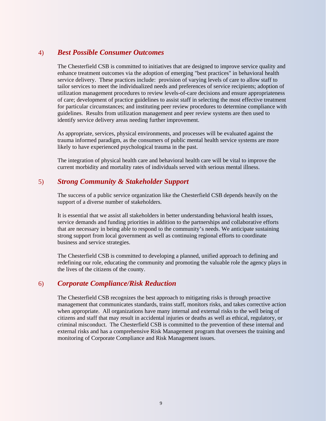#### 4) *Best Possible Consumer Outcomes*

The Chesterfield CSB is committed to initiatives that are designed to improve service quality and enhance treatment outcomes via the adoption of emerging "best practices" in behavioral health service delivery. These practices include: provision of varying levels of care to allow staff to tailor services to meet the individualized needs and preferences of service recipients; adoption of utilization management procedures to review levels-of-care decisions and ensure appropriateness of care; development of practice guidelines to assist staff in selecting the most effective treatment for particular circumstances; and instituting peer review procedures to determine compliance with guidelines. Results from utilization management and peer review systems are then used to identify service delivery areas needing further improvement.

As appropriate, services, physical environments, and processes will be evaluated against the trauma informed paradigm, as the consumers of public mental health service systems are more likely to have experienced psychological trauma in the past.

The integration of physical health care and behavioral health care will be vital to improve the current morbidity and mortality rates of individuals served with serious mental illness.

#### 5) *Strong Community & Stakeholder Support*

The success of a public service organization like the Chesterfield CSB depends heavily on the support of a diverse number of stakeholders.

It is essential that we assist all stakeholders in better understanding behavioral health issues, service demands and funding priorities in addition to the partnerships and collaborative efforts that are necessary in being able to respond to the community's needs. We anticipate sustaining strong support from local government as well as continuing regional efforts to coordinate business and service strategies.

The Chesterfield CSB is committed to developing a planned, unified approach to defining and redefining our role, educating the community and promoting the valuable role the agency plays in the lives of the citizens of the county.

#### 6) *Corporate Compliance/Risk Reduction*

The Chesterfield CSB recognizes the best approach to mitigating risks is through proactive management that communicates standards, trains staff, monitors risks, and takes corrective action when appropriate. All organizations have many internal and external risks to the well being of citizens and staff that may result in accidental injuries or deaths as well as ethical, regulatory, or criminal misconduct. The Chesterfield CSB is committed to the prevention of these internal and external risks and has a comprehensive Risk Management program that oversees the training and monitoring of Corporate Compliance and Risk Management issues.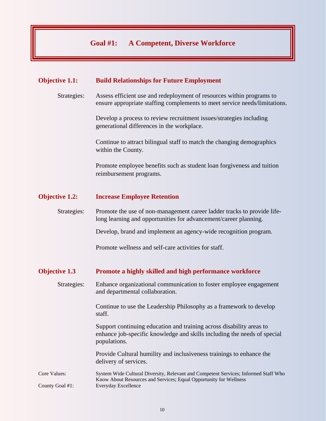#### **Goal #1: A Competent, Diverse Workforce**

#### **Objective 1.1: Build Relationships for Future Employment**

Strategies: Assess efficient use and redeployment of resources within programs to ensure appropriate staffing complements to meet service needs/limitations.

> Develop a process to review recruitment issues/strategies including generational differences in the workplace.

Continue to attract bilingual staff to match the changing demographics within the County.

Promote employee benefits such as student loan forgiveness and tuition reimbursement programs.

#### **Objective 1.2: Increase Employee Retention**

Strategies: Promote the use of non-management career ladder tracks to provide life long learning and opportunities for advancement/career planning.

Develop, brand and implement an agency-wide recognition program.

Promote wellness and self-care activities for staff.

#### **Objective 1.3 Promote a highly skilled and high performance workforce**

Strategies: Enhance organizational communication to foster employee engagement and departmental collaboration.

> Continue to use the Leadership Philosophy as a framework to develop staff.

Support continuing education and training across disability areas to enhance job-specific knowledge and skills including the needs of special populations.

Provide Cultural humility and inclusiveness trainings to enhance the delivery of services.

Core Values: System Wide Cultural Diversity, Relevant and Competent Services; Informed Staff Who Know About Resources and Services; Equal Opportunity for Wellness County Goal #1: Everyday Excellence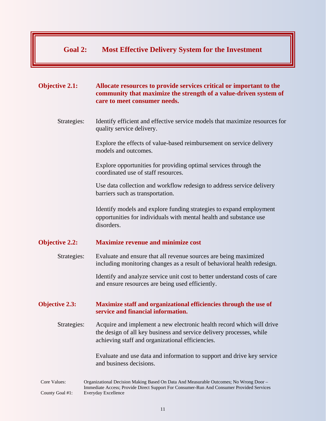#### **Goal 2: Most Effective Delivery System for the Investment**

#### **Objective 2.1: Allocate resources to provide services critical or important to the community that maximize the strength of a value-driven system of care to meet consumer needs.**

Strategies: Identify efficient and effective service models that maximize resources for quality service delivery.

> Explore the effects of value-based reimbursement on service delivery models and outcomes.

Explore opportunities for providing optimal services through the coordinated use of staff resources.

Use data collection and workflow redesign to address service delivery barriers such as transportation.

Identify models and explore funding strategies to expand employment opportunities for individuals with mental health and substance use disorders.

#### **Objective 2.2: Maximize revenue and minimize cost**

Strategies: Evaluate and ensure that all revenue sources are being maximized including monitoring changes as a result of behavioral health redesign.

> Identify and analyze service unit cost to better understand costs of care and ensure resources are being used efficiently.

#### **Objective 2.3: Maximize staff and organizational efficiencies through the use of service and financial information.**

Strategies: Acquire and implement a new electronic health record which will drive the design of all key business and service delivery processes, while achieving staff and organizational efficiencies.

> Evaluate and use data and information to support and drive key service and business decisions.

Core Values: Organizational Decision Making Based On Data And Measurable Outcomes; No Wrong Door – Immediate Access; Provide Direct Support For Consumer-Run And Consumer Provided Services County Goal #1: Everyday Excellence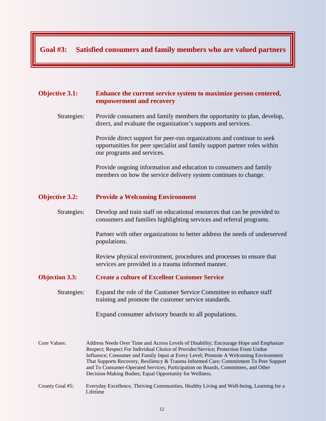#### **Goal #3: Satisfied consumers and family members who are valued partners**

#### **Objective 3.1: Enhance the current service system to maximize person centered, empowerment and recovery**

Strategies: Provide consumers and family members the opportunity to plan, develop, direct, and evaluate the organization's supports and services.

> Provide direct support for peer-run organizations and continue to seek opportunities for peer specialist and family support partner roles within our programs and services.

 Provide ongoing information and education to consumers and family members on how the service delivery system continues to change.

#### **Objective 3.2: Provide a Welcoming Environment**

Strategies: Develop and train staff on educational resources that can be provided to consumers and families highlighting services and referral programs.

> Partner with other organizations to better address the needs of underserved populations.

Review physical environment, procedures and processes to ensure that services are provided in a trauma informed manner.

#### **Objection 3.3: Create a culture of Excellent Customer Service**

Strategies:Expand the role of the Customer Service Committee to enhance staff training and promote the customer service standards.

Expand consumer advisory boards to all populations.

Core Values: Address Needs Over Time and Across Levels of Disability; Encourage Hope and Emphasize Respect; Respect For Individual Choice of Provider/Service; Protection From Undue Influence; Consumer and Family Input at Every Level; Promote A Welcoming Environment That Supports Recovery, Resiliency & Trauma Informed Care; Commitment To Peer Support and To Consumer-Operated Services; Participation on Boards, Committees, and Other Decision-Making Bodies; Equal Opportunity for Wellness.

County Goal #5: Everyday Excellence, Thriving Communities, Healthy Living and Well-being, Learning for a Lifetime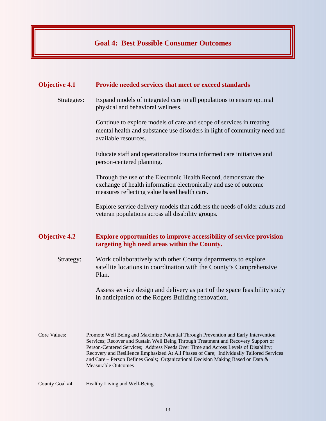#### **Goal 4: Best Possible Consumer Outcomes**

#### **Objective 4.1 Provide needed services that meet or exceed standards**

Strategies: Expand models of integrated care to all populations to ensure optimal physical and behavioral wellness.

> Continue to explore models of care and scope of services in treating mental health and substance use disorders in light of community need and available resources.

Educate staff and operationalize trauma informed care initiatives and person-centered planning.

Through the use of the Electronic Health Record, demonstrate the exchange of health information electronically and use of outcome measures reflecting value based health care.

Explore service delivery models that address the needs of older adults and veteran populations across all disability groups.

#### **Objective 4.2 Explore opportunities to improve accessibility of service provision targeting high need areas within the County.**

Strategy: Work collaboratively with other County departments to explore satellite locations in coordination with the County's Comprehensive Plan.

> Assess service design and delivery as part of the space feasibility study in anticipation of the Rogers Building renovation.

- Core Values: Promote Well Being and Maximize Potential Through Prevention and Early Intervention Services; Recover and Sustain Well Being Through Treatment and Recovery Support or Person-Centered Services; Address Needs Over Time and Across Levels of Disability; Recovery and Resilience Emphasized At All Phases of Care; Individually Tailored Services and Care – Person Defines Goals; Organizational Decision Making Based on Data & Measurable Outcomes
- County Goal #4: Healthy Living and Well-Being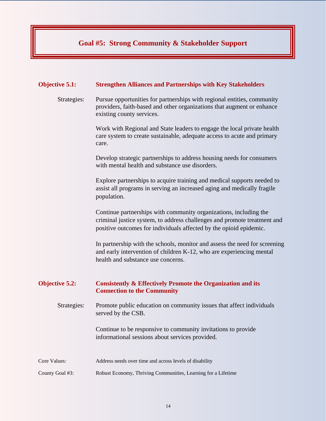#### **Goal #5: Strong Community & Stakeholder Support**

#### **Objective 5.1: Strengthen Alliances and Partnerships with Key Stakeholders**

Strategies: Pursue opportunities for partnerships with regional entities, community providers, faith-based and other organizations that augment or enhance existing county services.

> Work with Regional and State leaders to engage the local private health care system to create sustainable, adequate access to acute and primary care.

Develop strategic partnerships to address housing needs for consumers with mental health and substance use disorders.

Explore partnerships to acquire training and medical supports needed to assist all programs in serving an increased aging and medically fragile population.

Continue partnerships with community organizations, including the criminal justice system, to address challenges and promote treatment and positive outcomes for individuals affected by the opioid epidemic.

In partnership with the schools, monitor and assess the need for screening and early intervention of children K-12, who are experiencing mental health and substance use concerns.

#### **Objective 5.2: Consistently & Effectively Promote the Organization and its Connection to the Community**

Strategies: Promote public education on community issues that affect individuals served by the CSB.

> Continue to be responsive to community invitations to provide informational sessions about services provided.

- Core Values: Address needs over time and across levels of disability
- County Goal #3: Robust Economy, Thriving Communities, Learning for a Lifetime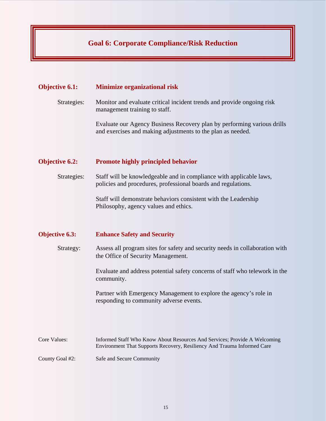#### **Goal 6: Corporate Compliance/Risk Reduction**

#### **Objective 6.1: Minimize organizational risk**

Strategies: Monitor and evaluate critical incident trends and provide ongoing risk management training to staff.

> Evaluate our Agency Business Recovery plan by performing various drills and exercises and making adjustments to the plan as needed.

#### **Objective 6.2: Promote highly principled behavior**

Strategies: Staff will be knowledgeable and in compliance with applicable laws, policies and procedures, professional boards and regulations.

> Staff will demonstrate behaviors consistent with the Leadership Philosophy, agency values and ethics.

#### **Objective 6.3: Enhance Safety and Security**

Strategy: Assess all program sites for safety and security needs in collaboration with the Office of Security Management.

> Evaluate and address potential safety concerns of staff who telework in the community.

Partner with Emergency Management to explore the agency's role in responding to community adverse events.

Core Values: Informed Staff Who Know About Resources And Services; Provide A Welcoming Environment That Supports Recovery, Resiliency And Trauma Informed Care

County Goal #2: Safe and Secure Community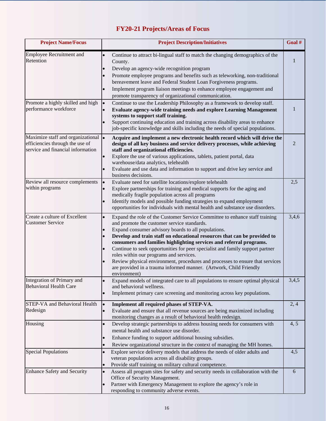### **FY20-21 Projects/Areas of Focus**

| <b>Project Name/Focus</b>                                                                                    | <b>Project Description/Initiatives</b>                                                                                                                                                                                                                                                                                                                                                                                                                                                                                                                                                                                                               |       |  |
|--------------------------------------------------------------------------------------------------------------|------------------------------------------------------------------------------------------------------------------------------------------------------------------------------------------------------------------------------------------------------------------------------------------------------------------------------------------------------------------------------------------------------------------------------------------------------------------------------------------------------------------------------------------------------------------------------------------------------------------------------------------------------|-------|--|
| Employee Recruitment and<br>Retention                                                                        | Continue to attract bi-lingual staff to match the changing demographics of the<br>$\bullet$<br>County.<br>Develop an agency-wide recognition program<br>$\bullet$<br>Promote employee programs and benefits such as teleworking, non-traditional<br>bereavement leave and Federal Student Loan Forgiveness programs.                                                                                                                                                                                                                                                                                                                                 |       |  |
|                                                                                                              | Implement program liaison meetings to enhance employee engagement and<br>promote transparency of organizational communication.                                                                                                                                                                                                                                                                                                                                                                                                                                                                                                                       |       |  |
| Promote a highly skilled and high<br>performance workforce                                                   | Continue to use the Leadership Philosophy as a framework to develop staff.<br>$\bullet$<br>Evaluate agency-wide training needs and explore Learning Management<br>systems to support staff training.<br>Support continuing education and training across disability areas to enhance<br>job-specific knowledge and skills including the needs of special populations.                                                                                                                                                                                                                                                                                |       |  |
| Maximize staff and organizational  ·<br>efficiencies through the use of<br>service and financial information | Acquire and implement a new electronic health record which will drive the<br>design of all key business and service delivery processes, while achieving<br>staff and organizational efficiencies.<br>Explore the use of various applications, tablets, patient portal, data                                                                                                                                                                                                                                                                                                                                                                          | 2     |  |
|                                                                                                              | warehouse/data analytics, telehealth<br>Evaluate and use data and information to support and drive key service and<br>business decisions.                                                                                                                                                                                                                                                                                                                                                                                                                                                                                                            |       |  |
| Review all resource complements<br>within programs                                                           | Evaluate need for satellite locations/explore telehealth<br>lo<br>Explore partnerships for training and medical supports for the aging and<br>medically fragile population across all programs<br>Identify models and possible funding strategies to expand employment<br>opportunities for individuals with mental health and substance use disorders.                                                                                                                                                                                                                                                                                              | 2,5   |  |
| Create a culture of Excellent<br><b>Customer Service</b>                                                     | Expand the role of the Customer Service Committee to enhance staff training<br>$\bullet$<br>and promote the customer service standards.<br>Expand consumer advisory boards to all populations.<br>Develop and train staff on educational resources that can be provided to<br>consumers and families highlighting services and referral programs.<br>Continue to seek opportunities for peer specialist and family support partner<br>roles within our programs and services.<br>Review physical environment, procedures and processes to ensure that services<br>are provided in a trauma informed manner. (Artwork, Child Friendly<br>environment) | 3,4,6 |  |
| Integration of Primary and<br><b>Behavioral Health Care</b>                                                  | Expand models of integrated care to all populations to ensure optimal physical<br>and behavioral wellness.<br>Implement primary care screening and monitoring across key populations.                                                                                                                                                                                                                                                                                                                                                                                                                                                                | 3,4,5 |  |
| <b>STEP-VA and Behavioral Health</b><br>Redesign                                                             | Implement all required phases of STEP-VA.<br>$\bullet$<br>Evaluate and ensure that all revenue sources are being maximized including<br>$\bullet$<br>monitoring changes as a result of behavioral health redesign.                                                                                                                                                                                                                                                                                                                                                                                                                                   | 2,4   |  |
| Housing                                                                                                      | Develop strategic partnerships to address housing needs for consumers with<br>$\bullet$<br>mental health and substance use disorder.<br>Enhance funding to support additional housing subsidies.<br>Review organizational structure in the context of managing the MH homes.<br>$\bullet$                                                                                                                                                                                                                                                                                                                                                            | 4, 5  |  |
| <b>Special Populations</b>                                                                                   | 4,5<br>Explore service delivery models that address the needs of older adults and<br>$\bullet$<br>veteran populations across all disability groups.<br>Provide staff training on military cultural competence.                                                                                                                                                                                                                                                                                                                                                                                                                                       |       |  |
| <b>Enhance Safety and Security</b>                                                                           | Assess all program sites for safety and security needs in collaboration with the<br>6<br>$\bullet$<br>Office of Security Management.<br>Partner with Emergency Management to explore the agency's role in<br>$\bullet$<br>responding to community adverse events.                                                                                                                                                                                                                                                                                                                                                                                    |       |  |